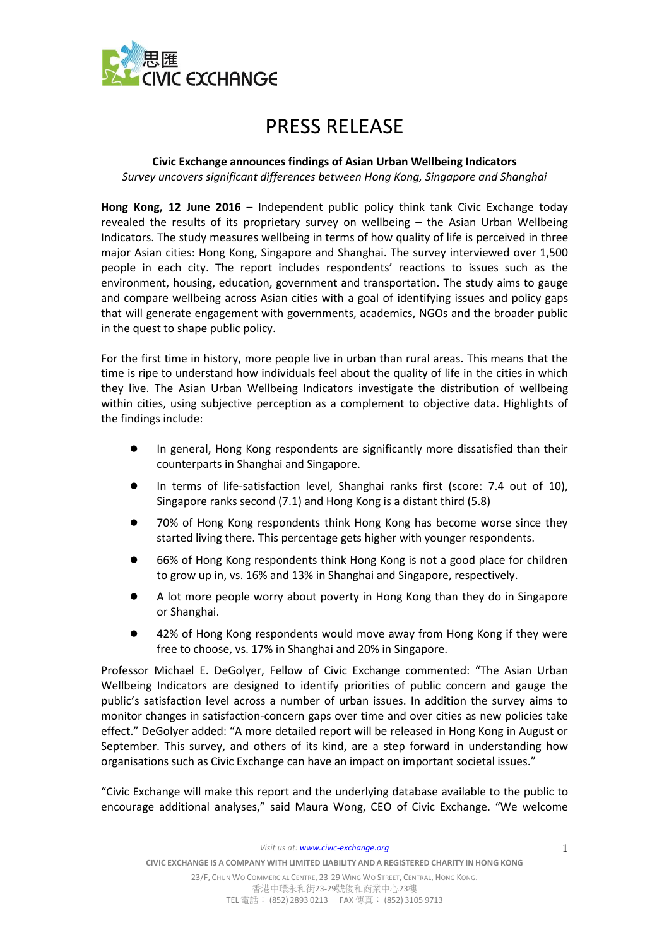

## PRESS RELEASE

## **Civic Exchange announces findings of Asian Urban Wellbeing Indicators**

*Survey uncovers significant differences between Hong Kong, Singapore and Shanghai*

**Hong Kong, 12 June 2016** – Independent public policy think tank Civic Exchange today revealed the results of its proprietary survey on wellbeing – the Asian Urban Wellbeing Indicators. The study measures wellbeing in terms of how quality of life is perceived in three major Asian cities: Hong Kong, Singapore and Shanghai. The survey interviewed over 1,500 people in each city. The report includes respondents' reactions to issues such as the environment, housing, education, government and transportation. The study aims to gauge and compare wellbeing across Asian cities with a goal of identifying issues and policy gaps that will generate engagement with governments, academics, NGOs and the broader public in the quest to shape public policy.

For the first time in history, more people live in urban than rural areas. This means that the time is ripe to understand how individuals feel about the quality of life in the cities in which they live. The Asian Urban Wellbeing Indicators investigate the distribution of wellbeing within cities, using subjective perception as a complement to objective data. Highlights of the findings include:

- In general, Hong Kong respondents are significantly more dissatisfied than their counterparts in Shanghai and Singapore.
- In terms of life-satisfaction level, Shanghai ranks first (score: 7.4 out of 10), Singapore ranks second (7.1) and Hong Kong is a distant third (5.8)
- 70% of Hong Kong respondents think Hong Kong has become worse since they started living there. This percentage gets higher with younger respondents.
- 66% of Hong Kong respondents think Hong Kong is not a good place for children to grow up in, vs. 16% and 13% in Shanghai and Singapore, respectively.
- A lot more people worry about poverty in Hong Kong than they do in Singapore or Shanghai.
- 42% of Hong Kong respondents would move away from Hong Kong if they were free to choose, vs. 17% in Shanghai and 20% in Singapore.

Professor Michael E. DeGolyer, Fellow of Civic Exchange commented: "The Asian Urban Wellbeing Indicators are designed to identify priorities of public concern and gauge the public's satisfaction level across a number of urban issues. In addition the survey aims to monitor changes in satisfaction-concern gaps over time and over cities as new policies take effect." DeGolyer added: "A more detailed report will be released in Hong Kong in August or September. This survey, and others of its kind, are a step forward in understanding how organisations such as Civic Exchange can have an impact on important societal issues."

"Civic Exchange will make this report and the underlying database available to the public to encourage additional analyses," said Maura Wong, CEO of Civic Exchange. "We welcome

*Visit us at[: www.civic-exchange.org](file:///C:/Users/civic/AppData/Local/Microsoft/Windows/Temporary%20Internet%20Files/Content.Outlook/13BPPPHY/www.civic-exchange.org)*

TEL電話: (852) 2893 0213 FAX 傳真: (852) 3105 9713